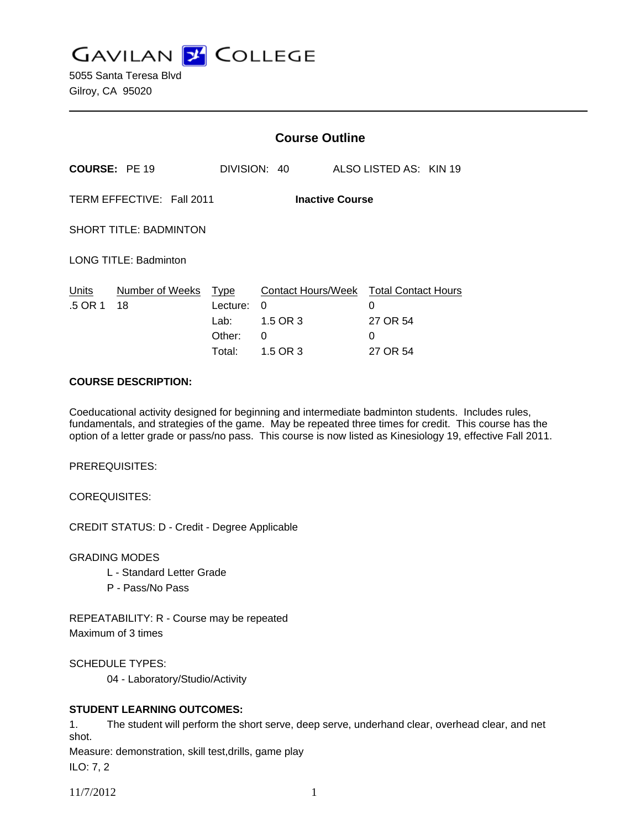**GAVILAN Z COLLEGE** 

5055 Santa Teresa Blvd Gilroy, CA 95020

|                                                     |                       | <b>Course Outline</b>                               |                                                             |  |                                                              |  |  |
|-----------------------------------------------------|-----------------------|-----------------------------------------------------|-------------------------------------------------------------|--|--------------------------------------------------------------|--|--|
| <b>COURSE: PE 19</b>                                |                       |                                                     | DIVISION: 40                                                |  | ALSO LISTED AS: KIN 19                                       |  |  |
| TERM EFFECTIVE: Fall 2011<br><b>Inactive Course</b> |                       |                                                     |                                                             |  |                                                              |  |  |
| SHORT TITLE: BADMINTON                              |                       |                                                     |                                                             |  |                                                              |  |  |
| <b>LONG TITLE: Badminton</b>                        |                       |                                                     |                                                             |  |                                                              |  |  |
| Units<br>.5 OR 1                                    | Number of Weeks<br>18 | <b>Type</b><br>Lecture:<br>Lab:<br>Other:<br>Total: | Contact Hours/Week<br>$\Omega$<br>1.5 OR 3<br>0<br>1.5 OR 3 |  | <b>Total Contact Hours</b><br>0<br>27 OR 54<br>0<br>27 OR 54 |  |  |

### **COURSE DESCRIPTION:**

Coeducational activity designed for beginning and intermediate badminton students. Includes rules, fundamentals, and strategies of the game. May be repeated three times for credit. This course has the option of a letter grade or pass/no pass. This course is now listed as Kinesiology 19, effective Fall 2011.

PREREQUISITES:

COREQUISITES:

CREDIT STATUS: D - Credit - Degree Applicable

GRADING MODES

- L Standard Letter Grade
- P Pass/No Pass

REPEATABILITY: R - Course may be repeated Maximum of 3 times

SCHEDULE TYPES:

04 - Laboratory/Studio/Activity

## **STUDENT LEARNING OUTCOMES:**

1. The student will perform the short serve, deep serve, underhand clear, overhead clear, and net shot.

Measure: demonstration, skill test,drills, game play

ILO: 7, 2

11/7/2012 1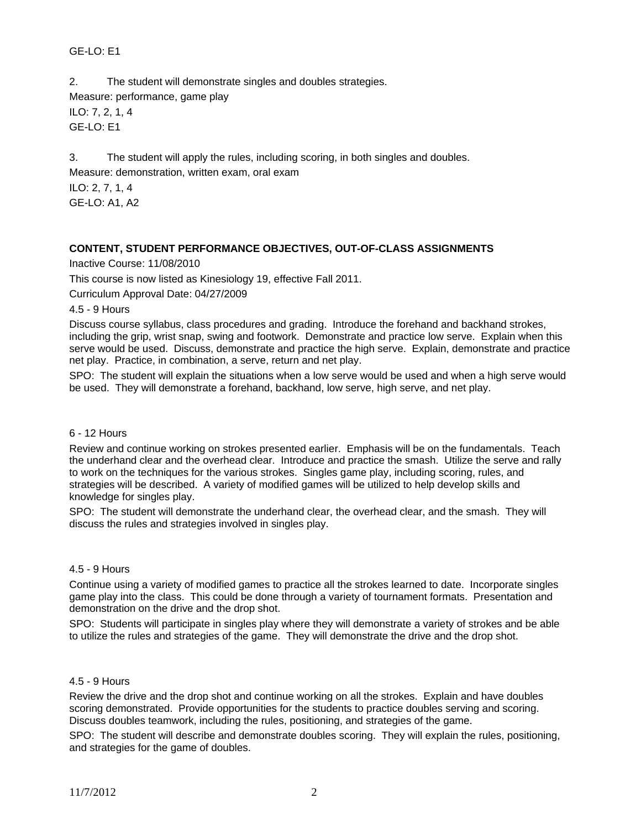## GE-LO: E1

2. The student will demonstrate singles and doubles strategies. Measure: performance, game play ILO: 7, 2, 1, 4 GE-LO: E1

3. The student will apply the rules, including scoring, in both singles and doubles.

Measure: demonstration, written exam, oral exam

ILO: 2, 7, 1, 4 GE-LO: A1, A2

# **CONTENT, STUDENT PERFORMANCE OBJECTIVES, OUT-OF-CLASS ASSIGNMENTS**

Inactive Course: 11/08/2010

This course is now listed as Kinesiology 19, effective Fall 2011.

Curriculum Approval Date: 04/27/2009

4.5 - 9 Hours

Discuss course syllabus, class procedures and grading. Introduce the forehand and backhand strokes, including the grip, wrist snap, swing and footwork. Demonstrate and practice low serve. Explain when this serve would be used. Discuss, demonstrate and practice the high serve. Explain, demonstrate and practice net play. Practice, in combination, a serve, return and net play.

SPO: The student will explain the situations when a low serve would be used and when a high serve would be used. They will demonstrate a forehand, backhand, low serve, high serve, and net play.

#### 6 - 12 Hours

Review and continue working on strokes presented earlier. Emphasis will be on the fundamentals. Teach the underhand clear and the overhead clear. Introduce and practice the smash. Utilize the serve and rally to work on the techniques for the various strokes. Singles game play, including scoring, rules, and strategies will be described. A variety of modified games will be utilized to help develop skills and knowledge for singles play.

SPO: The student will demonstrate the underhand clear, the overhead clear, and the smash. They will discuss the rules and strategies involved in singles play.

## 4.5 - 9 Hours

Continue using a variety of modified games to practice all the strokes learned to date. Incorporate singles game play into the class. This could be done through a variety of tournament formats. Presentation and demonstration on the drive and the drop shot.

SPO: Students will participate in singles play where they will demonstrate a variety of strokes and be able to utilize the rules and strategies of the game. They will demonstrate the drive and the drop shot.

#### 4.5 - 9 Hours

Review the drive and the drop shot and continue working on all the strokes. Explain and have doubles scoring demonstrated. Provide opportunities for the students to practice doubles serving and scoring. Discuss doubles teamwork, including the rules, positioning, and strategies of the game.

SPO: The student will describe and demonstrate doubles scoring. They will explain the rules, positioning, and strategies for the game of doubles.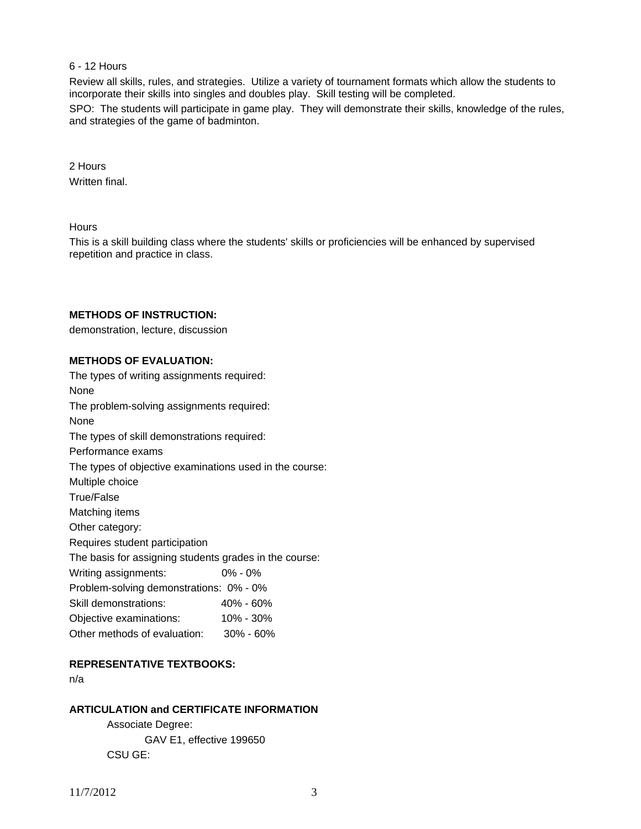#### 6 - 12 Hours

Review all skills, rules, and strategies. Utilize a variety of tournament formats which allow the students to incorporate their skills into singles and doubles play. Skill testing will be completed.

SPO: The students will participate in game play. They will demonstrate their skills, knowledge of the rules, and strategies of the game of badminton.

## 2 Hours Written final.

### **Hours**

This is a skill building class where the students' skills or proficiencies will be enhanced by supervised repetition and practice in class.

## **METHODS OF INSTRUCTION:**

demonstration, lecture, discussion

### **METHODS OF EVALUATION:**

| The types of writing assignments required:              |             |  |  |  |  |
|---------------------------------------------------------|-------------|--|--|--|--|
| None                                                    |             |  |  |  |  |
| The problem-solving assignments required:               |             |  |  |  |  |
| None                                                    |             |  |  |  |  |
| The types of skill demonstrations required:             |             |  |  |  |  |
| Performance exams                                       |             |  |  |  |  |
| The types of objective examinations used in the course: |             |  |  |  |  |
| Multiple choice                                         |             |  |  |  |  |
| True/False                                              |             |  |  |  |  |
| Matching items                                          |             |  |  |  |  |
| Other category:                                         |             |  |  |  |  |
| Requires student participation                          |             |  |  |  |  |
| The basis for assigning students grades in the course:  |             |  |  |  |  |
| Writing assignments:                                    | $0\% - 0\%$ |  |  |  |  |
| Problem-solving demonstrations: 0% - 0%                 |             |  |  |  |  |
| Skill demonstrations:                                   | 40% - 60%   |  |  |  |  |
| Objective examinations:                                 | 10% - 30%   |  |  |  |  |
| Other methods of evaluation: 30% - 60%                  |             |  |  |  |  |

## **REPRESENTATIVE TEXTBOOKS:**

n/a

# **ARTICULATION and CERTIFICATE INFORMATION**

 Associate Degree: GAV E1, effective 199650 CSU GE: